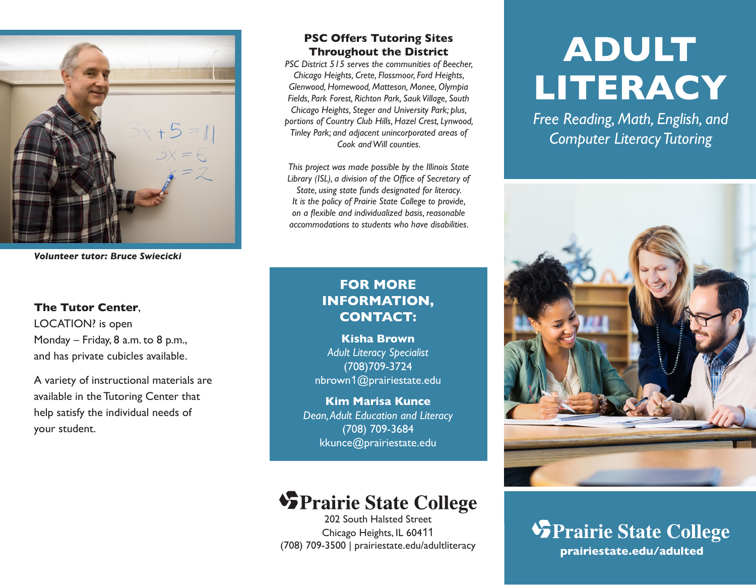

*Volunteer tutor: Bruce Swiecicki*

#### **The Tutor Center**,

LOCATION? is open Monday – Friday, 8 a.m. to 8 p.m., and has private cubicles available.

A variety of instructional materials are available in the Tutoring Center that help satisfy the individual needs of your student.

#### **PSC Offers Tutoring Sites Throughout the District**

*PSC District 515 serves the communities of Beecher, Chicago Heights, Crete, Flossmoor, Ford Heights, Glenwood, Homewood, Matteson, Monee, Olympia Fields, Park Forest, Richton Park, Sauk Village, South Chicago Heights, Steger and University Park; plus, portions of Country Club Hills, Hazel Crest, Lynwood, Tinley Park; and adjacent unincorporated areas of Cook and Will counties.*

*This project was made possible by the Illinois State Library (ISL), a division of the Office of Secretary of State, using state funds designated for literacy. It is the policy of Prairie State College to provide, on a flexible and individualized basis, reasonable accommodations to students who have disabilities.*

### **FOR MORE INFORMATION, CONTACT:**

**Kisha Brown** *Adult Literacy Specialist* (708)709-3724 nbrown1@prairiestate.edu

**Kim Marisa Kunce** *Dean, Adult Education and Literacy* (708) 709-3684 kkunce@prairiestate.edu

# **SPrairie State College**

202 South Halsted Street Chicago Heights, IL 60411 (708) 709-3500 | prairiestate.edu/adultliteracy

# **ADULT LITERACY**

*Free Reading, Math, English, and Computer Literacy Tutoring*



**SPrairie State College prairiestate.edu/adulted**